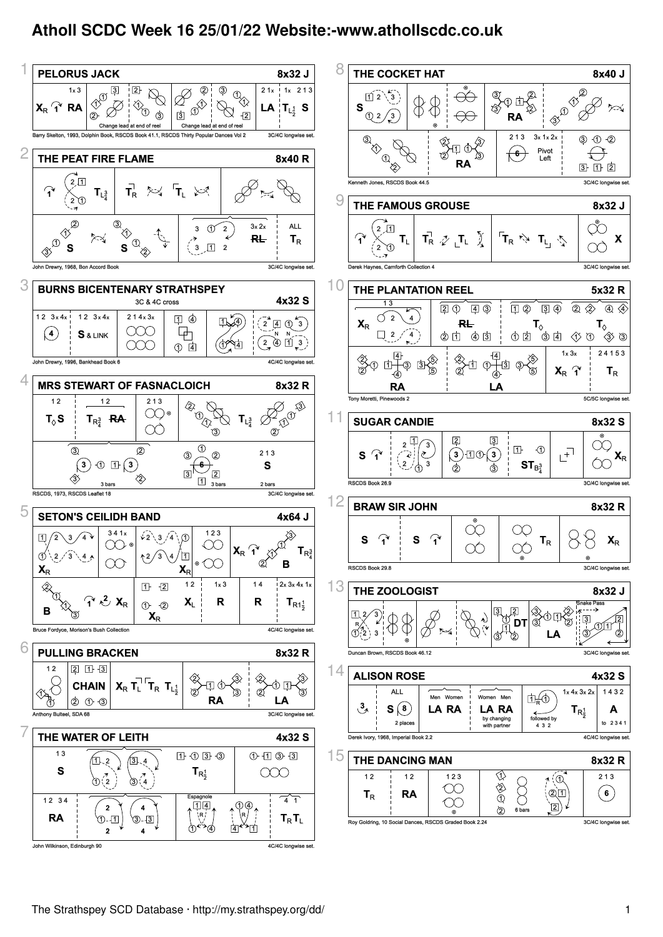## **Atholl SCDC Week 16 25/01/22 Website:-www.athollscdc.co.uk**